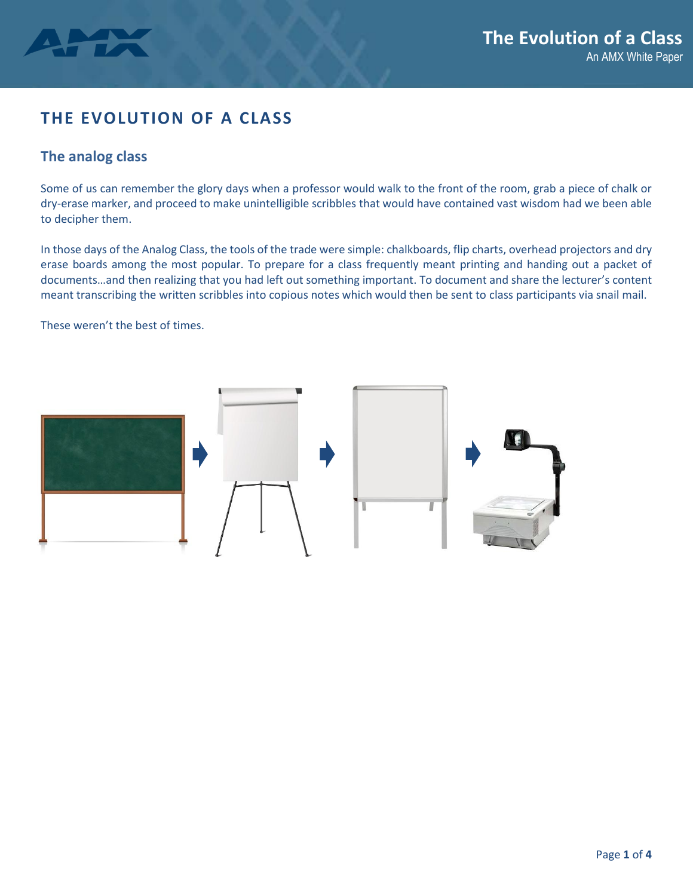

# **THE EVOLUTION OF A CLASS**

### **The analog class**

Some of us can remember the glory days when a professor would walk to the front of the room, grab a piece of chalk or dry-erase marker, and proceed to make unintelligible scribbles that would have contained vast wisdom had we been able to decipher them.

In those days of the Analog Class, the tools of the trade were simple: chalkboards, flip charts, overhead projectors and dry erase boards among the most popular. To prepare for a class frequently meant printing and handing out a packet of documents…and then realizing that you had left out something important. To document and share the lecturer's content meant transcribing the written scribbles into copious notes which would then be sent to class participants via snail mail.

These weren't the best of times.

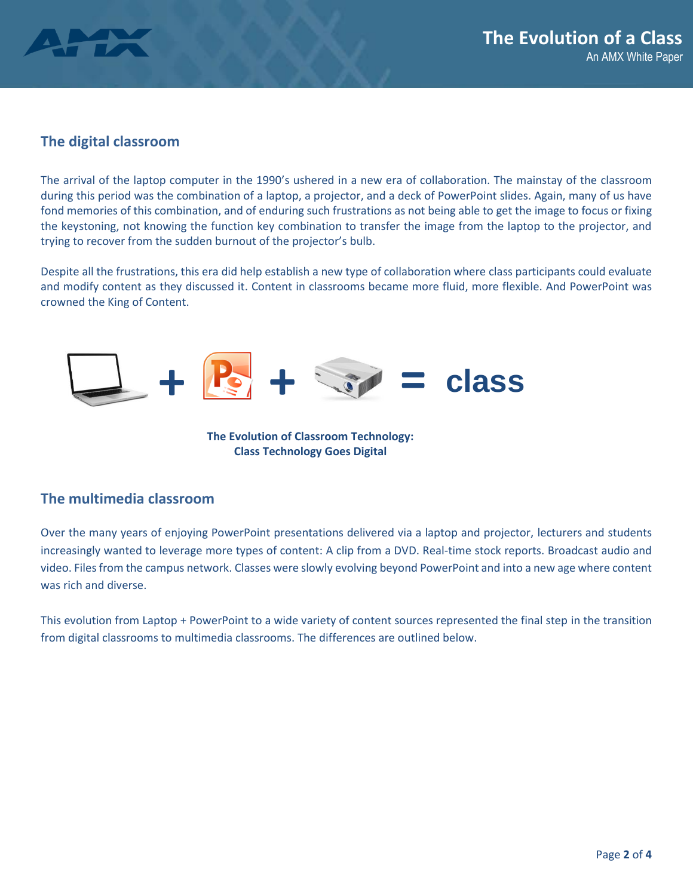

#### **The digital classroom**

The arrival of the laptop computer in the 1990's ushered in a new era of collaboration. The mainstay of the classroom during this period was the combination of a laptop, a projector, and a deck of PowerPoint slides. Again, many of us have fond memories of this combination, and of enduring such frustrations as not being able to get the image to focus or fixing the keystoning, not knowing the function key combination to transfer the image from the laptop to the projector, and trying to recover from the sudden burnout of the projector's bulb.

Despite all the frustrations, this era did help establish a new type of collaboration where class participants could evaluate and modify content as they discussed it. Content in classrooms became more fluid, more flexible. And PowerPoint was crowned the King of Content.



**The Evolution of Classroom Technology: Class Technology Goes Digital**

#### **The multimedia classroom**

Over the many years of enjoying PowerPoint presentations delivered via a laptop and projector, lecturers and students increasingly wanted to leverage more types of content: A clip from a DVD. Real-time stock reports. Broadcast audio and video. Files from the campus network. Classes were slowly evolving beyond PowerPoint and into a new age where content was rich and diverse.

This evolution from Laptop + PowerPoint to a wide variety of content sources represented the final step in the transition from digital classrooms to multimedia classrooms. The differences are outlined below.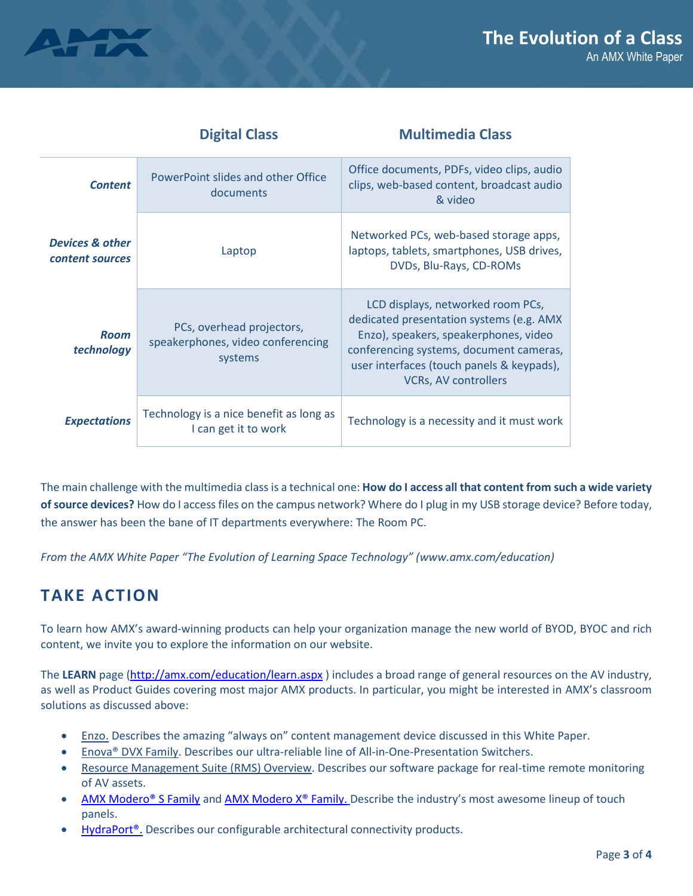



|                                               | <b>Digital Class</b>                                                      | <b>Multimedia Class</b>                                                                                                                                                                                                                       |
|-----------------------------------------------|---------------------------------------------------------------------------|-----------------------------------------------------------------------------------------------------------------------------------------------------------------------------------------------------------------------------------------------|
| <b>Content</b>                                | PowerPoint slides and other Office<br>documents                           | Office documents, PDFs, video clips, audio<br>clips, web-based content, broadcast audio<br>& video                                                                                                                                            |
| <b>Devices &amp; other</b><br>content sources | Laptop                                                                    | Networked PCs, web-based storage apps,<br>laptops, tablets, smartphones, USB drives,<br>DVDs, Blu-Rays, CD-ROMs                                                                                                                               |
| <b>Room</b><br>technology                     | PCs, overhead projectors,<br>speakerphones, video conferencing<br>systems | LCD displays, networked room PCs,<br>dedicated presentation systems (e.g. AMX<br>Enzo), speakers, speakerphones, video<br>conferencing systems, document cameras,<br>user interfaces (touch panels & keypads),<br><b>VCRs, AV controllers</b> |
| <b>Expectations</b>                           | Technology is a nice benefit as long as<br>I can get it to work           | Technology is a necessity and it must work                                                                                                                                                                                                    |

The main challenge with the multimedia class is a technical one: **How do I access all that content from such a wide variety of source devices?** How do I access files on the campus network? Where do I plug in my USB storage device? Before today, the answer has been the bane of IT departments everywhere: The Room PC.

*From the AMX White Paper "The Evolution of Learning Space Technology" (www.amx.com/education)*

## **TAKE ACTION**

To learn how AMX's award-winning products can help your organization manage the new world of BYOD, BYOC and rich content, we invite you to explore the information on our website.

The **LEARN** page [\(http://amx.com/education/learn.aspx](http://amx.com/education/learn.aspx) ) includes a broad range of general resources on the AV industry, as well as Product Guides covering most major AMX products. In particular, you might be interested in AMX's classroom solutions as discussed above:

- **[Enzo.](http://www.amx.com/enzo/)** Describes the amazing "always on" content management device discussed in this White Paper.
- **Enova® DVX Family. Describes our ultra-reliable line of All-in-One-Presentation Switchers.**
- Resource Management Suite (RMS) Overview. Describes our software package for real-time remote monitoring of AV assets.
- [AMX Modero® S Family](http://www.amx.com/modero/s-series.aspx) an[d AMX Modero X® Family.](http://www.amx.com/modero/x-series.aspx) Describe the industry's most awesome lineup of touch panels.
- HydraPort<sup>®</sup>. Describes our configurable architectural connectivity products.